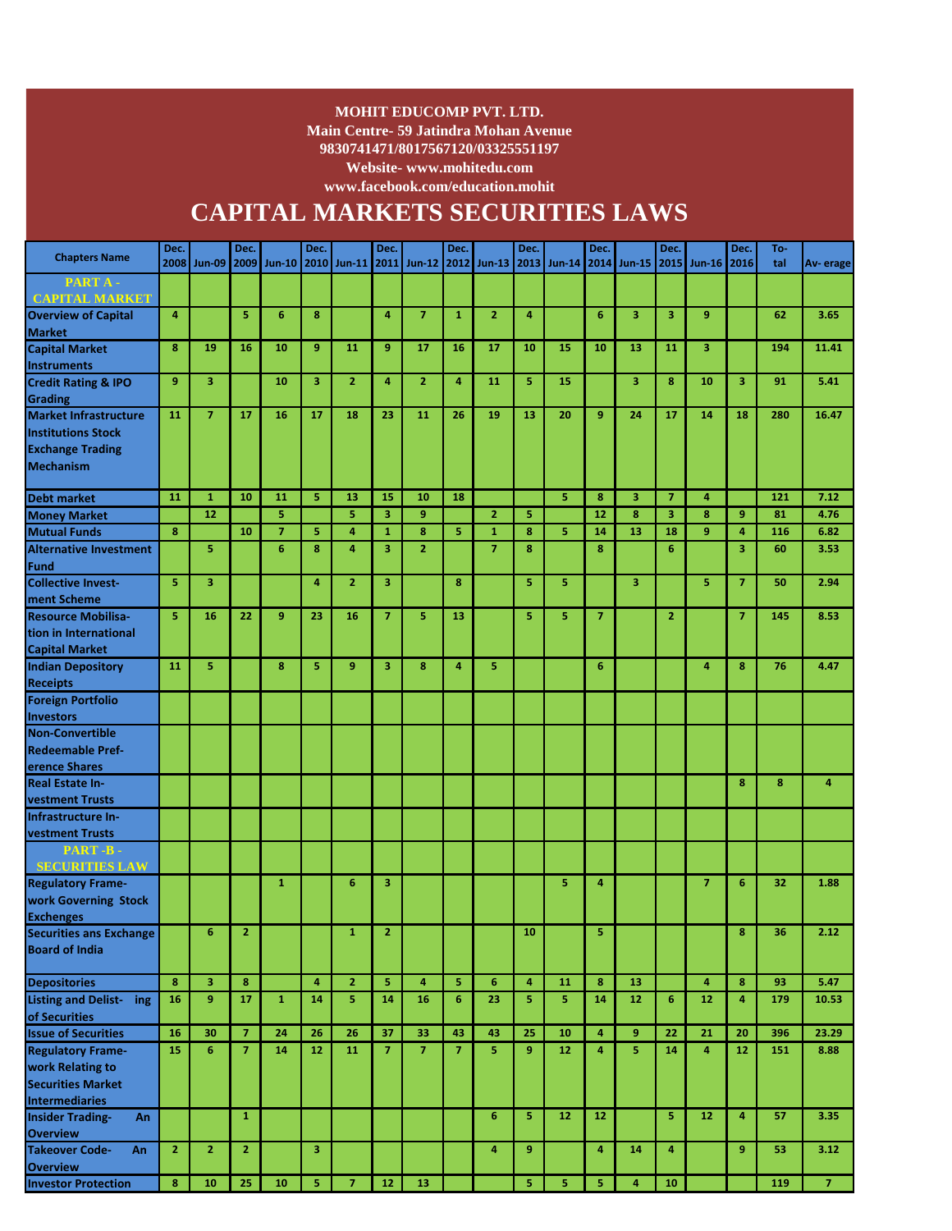#### **MOHIT EDUCOMP PVT. LTD.**

**Main Centre- 59 Jatindra Mohan Avenue 9830741471/8017567120/03325551197**

**Website- www.mohitedu.com**

**www.facebook.com/education.mohit** 

# **CAPITAL MARKETS SECURITIES LAWS**

| <b>Chapters Name</b>                                 | Dec.           |                | Dec.           |                | Dec.    |                     | Dec.                    |                | Dec.                |                         | Dec.                         |               | Dec.           |                         | Dec.             |                               | Dec.                    | To-       |                |
|------------------------------------------------------|----------------|----------------|----------------|----------------|---------|---------------------|-------------------------|----------------|---------------------|-------------------------|------------------------------|---------------|----------------|-------------------------|------------------|-------------------------------|-------------------------|-----------|----------------|
|                                                      | 2008           | <b>Jun-09</b>  | 2009           | $Jun-10$       |         | 2010 Jun-11         |                         | 2011 Jun-12    | 2012                | <b>Jun-13</b>           | 2013                         | <b>Jun-14</b> |                | 2014 Jun-15             | 2015             | <b>Jun-16</b>                 | 2016                    | tal       | Av-erage       |
| PART A-                                              |                |                |                |                |         |                     |                         |                |                     |                         |                              |               |                |                         |                  |                               |                         |           |                |
| <b>CAPITAL MARKET</b>                                |                |                |                |                |         |                     |                         |                |                     |                         |                              |               |                |                         |                  |                               |                         |           |                |
| <b>Overview of Capital</b>                           | 4              |                | 5              | 6              | 8       |                     | 4                       | $\overline{7}$ | $\mathbf{1}$        | $\overline{2}$          | $\overline{4}$               |               | 6              | 3                       | 3                | 9                             |                         | 62        | 3.65           |
| <b>Market</b><br><b>Capital Market</b>               | 8              | 19             | 16             | 10             | 9       | 11                  | 9                       | 17             | 16                  | 17                      | 10                           | 15            | 10             | 13                      | 11               | $\overline{\mathbf{3}}$       |                         | 194       | 11.41          |
|                                                      |                |                |                |                |         |                     |                         |                |                     |                         |                              |               |                |                         |                  |                               |                         |           |                |
| <b>Instruments</b><br><b>Credit Rating &amp; IPO</b> | 9              | 3              |                | 10             | 3       | $\overline{2}$      | 4                       | $\overline{2}$ | 4                   | 11                      | 5                            | 15            |                | 3                       | $\boldsymbol{8}$ | 10                            | 3                       | 91        | 5.41           |
| Grading                                              |                |                |                |                |         |                     |                         |                |                     |                         |                              |               |                |                         |                  |                               |                         |           |                |
| <b>Market Infrastructure</b>                         | 11             | $\overline{7}$ | 17             | 16             | 17      | 18                  | 23                      | 11             | 26                  | 19                      | 13                           | 20            | 9              | 24                      | 17               | 14                            | 18                      | 280       | 16.47          |
| <b>Institutions Stock</b>                            |                |                |                |                |         |                     |                         |                |                     |                         |                              |               |                |                         |                  |                               |                         |           |                |
| <b>Exchange Trading</b>                              |                |                |                |                |         |                     |                         |                |                     |                         |                              |               |                |                         |                  |                               |                         |           |                |
| <b>Mechanism</b>                                     |                |                |                |                |         |                     |                         |                |                     |                         |                              |               |                |                         |                  |                               |                         |           |                |
|                                                      |                |                |                |                |         |                     |                         |                |                     |                         |                              |               |                |                         |                  |                               |                         |           |                |
| <b>Debt market</b>                                   | 11             | $\mathbf{1}$   | 10             | 11             | 5       | 13                  | 15                      | 10             | 18                  |                         |                              | 5             | 8              | 3                       | $\overline{7}$   | 4                             |                         | 121       | 7.12           |
| <b>Money Market</b>                                  |                | 12             |                | 5              |         | 5                   | 3                       | 9              |                     | $\overline{2}$          | 5                            |               | 12             | 8                       | 3                | 8                             | 9                       | 81        | 4.76           |
| <b>Mutual Funds</b>                                  | 8              |                | 10             | $\overline{7}$ | 5       | 4                   | $\mathbf{1}$            | 8              | 5                   | $\mathbf{1}$            | 8                            | 5.            | 14             | 13                      | 18               | 9                             | $\overline{4}$          | 116       | 6.82           |
| <b>Alternative Investment</b>                        |                | 5              |                | $\overline{6}$ | 8       | $\overline{4}$      | $\overline{\mathbf{3}}$ | $\overline{2}$ |                     | $\overline{7}$          | 8                            |               | 8              |                         | 6                |                               | $\overline{\mathbf{3}}$ | 60        | 3.53           |
| Fund                                                 |                |                |                |                |         |                     |                         |                |                     |                         |                              |               |                |                         |                  |                               |                         |           |                |
| <b>Collective Invest-</b>                            | 5              | 3              |                |                | 4       | $\overline{2}$      | 3                       |                | 8                   |                         | 5                            | 5             |                | 3                       |                  | 5                             | $\overline{7}$          | 50        | 2.94           |
| ment Scheme                                          |                |                |                |                |         |                     |                         |                |                     |                         |                              |               |                |                         |                  |                               |                         |           |                |
| <b>Resource Mobilisa-</b>                            | 5              | 16             | 22             | 9              | 23      | 16                  | $\overline{7}$          | 5              | 13                  |                         | 5                            | 5             | $\overline{7}$ |                         | $\overline{2}$   |                               | $\overline{7}$          | 145       | 8.53           |
| tion in International                                |                |                |                |                |         |                     |                         |                |                     |                         |                              |               |                |                         |                  |                               |                         |           |                |
| <b>Capital Market</b>                                |                |                |                |                |         |                     |                         |                |                     |                         |                              |               |                |                         |                  |                               |                         |           |                |
| <b>Indian Depository</b>                             | 11             | 5              |                | 8              | 5       | 9                   | 3                       | 8              | 4                   | 5                       |                              |               | $6\phantom{1}$ |                         |                  | $\overline{4}$                | 8                       | 76        | 4.47           |
| <b>Receipts</b>                                      |                |                |                |                |         |                     |                         |                |                     |                         |                              |               |                |                         |                  |                               |                         |           |                |
| <b>Foreign Portfolio</b>                             |                |                |                |                |         |                     |                         |                |                     |                         |                              |               |                |                         |                  |                               |                         |           |                |
| <b>Investors</b>                                     |                |                |                |                |         |                     |                         |                |                     |                         |                              |               |                |                         |                  |                               |                         |           |                |
| <b>Non-Convertible</b>                               |                |                |                |                |         |                     |                         |                |                     |                         |                              |               |                |                         |                  |                               |                         |           |                |
| <b>Redeemable Pref-</b>                              |                |                |                |                |         |                     |                         |                |                     |                         |                              |               |                |                         |                  |                               |                         |           |                |
| erence Shares                                        |                |                |                |                |         |                     |                         |                |                     |                         |                              |               |                |                         |                  |                               |                         |           |                |
| <b>Real Estate In-</b>                               |                |                |                |                |         |                     |                         |                |                     |                         |                              |               |                |                         |                  |                               | 8                       | 8         | $\overline{4}$ |
| <b>vestment Trusts</b>                               |                |                |                |                |         |                     |                         |                |                     |                         |                              |               |                |                         |                  |                               |                         |           |                |
| Infrastructure In-                                   |                |                |                |                |         |                     |                         |                |                     |                         |                              |               |                |                         |                  |                               |                         |           |                |
| <b>vestment Trusts</b>                               |                |                |                |                |         |                     |                         |                |                     |                         |                              |               |                |                         |                  |                               |                         |           |                |
| PART-B-<br><b>SECURITIES LAW</b>                     |                |                |                |                |         |                     |                         |                |                     |                         |                              |               |                |                         |                  |                               |                         |           |                |
| <b>Regulatory Frame-</b>                             |                |                |                | $\mathbf{1}$   |         | 6                   | 3                       |                |                     |                         |                              | 5             | 4              |                         |                  | $\overline{7}$                | 6                       | 32        | 1.88           |
| work Governing Stock                                 |                |                |                |                |         |                     |                         |                |                     |                         |                              |               |                |                         |                  |                               |                         |           |                |
| <b>Exchenges</b>                                     |                |                |                |                |         |                     |                         |                |                     |                         |                              |               |                |                         |                  |                               |                         |           |                |
| <b>Securities ans Exchange</b>                       |                | 6              | $\overline{2}$ |                |         | $\mathbf{1}$        | $\overline{2}$          |                |                     |                         | 10                           |               | 5              |                         |                  |                               | 8                       | 36        | 2.12           |
| <b>Board of India</b>                                |                |                |                |                |         |                     |                         |                |                     |                         |                              |               |                |                         |                  |                               |                         |           |                |
|                                                      |                |                |                |                |         |                     |                         |                |                     |                         |                              |               |                |                         |                  |                               |                         |           |                |
| <b>Depositories</b><br>Listing and Delist- ing       | 8<br>16        | 3<br>9         | 8<br>17        | $\mathbf{1}$   | 4<br>14 | $\overline{2}$<br>5 | 5<br>14                 | 4<br>16        | 5<br>$6\phantom{a}$ | $6\phantom{1}6$<br>23   | $\overline{\mathbf{4}}$<br>5 | 11<br>5       | 8<br>14        | 13<br>12 <sub>2</sub>   | 6                | $\overline{\mathbf{4}}$<br>12 | 8<br>4                  | 93<br>179 | 5.47<br>10.53  |
| of Securities                                        |                |                |                |                |         |                     |                         |                |                     |                         |                              |               |                |                         |                  |                               |                         |           |                |
| <b>Issue of Securities</b>                           | 16             | 30             | $\overline{7}$ | 24             | 26      | 26                  | 37                      | 33             | 43                  | 43                      | 25                           | 10            | 4              | 9                       | 22               | 21                            | 20                      | 396       | 23.29          |
| <b>Regulatory Frame-</b>                             | 15             | 6              | $\overline{7}$ | 14             | 12      | 11                  | $\overline{7}$          | $\overline{7}$ | $\overline{7}$      | $\overline{\mathbf{s}}$ | $\overline{9}$               | 12            | $\overline{4}$ | $\overline{\mathbf{5}}$ | 14               | $\overline{4}$                | 12                      | 151       | 8.88           |
| work Relating to                                     |                |                |                |                |         |                     |                         |                |                     |                         |                              |               |                |                         |                  |                               |                         |           |                |
| <b>Securities Market</b>                             |                |                |                |                |         |                     |                         |                |                     |                         |                              |               |                |                         |                  |                               |                         |           |                |
| <b>Intermediaries</b>                                |                |                |                |                |         |                     |                         |                |                     |                         |                              |               |                |                         |                  |                               |                         |           |                |
| <b>Insider Trading-</b><br>An                        |                |                | $\mathbf{1}$   |                |         |                     |                         |                |                     | 6                       | 5                            | 12            | 12             |                         | 5                | 12                            | 4                       | 57        | 3.35           |
| <b>Overview</b>                                      |                |                |                |                |         |                     |                         |                |                     |                         |                              |               |                |                         |                  |                               |                         |           |                |
| <b>Takeover Code-</b><br>An                          | $\overline{2}$ | $\overline{2}$ | $\mathbf{2}$   |                | 3       |                     |                         |                |                     | 4                       | 9                            |               | 4              | 14                      | 4                |                               | 9                       | 53        | 3.12           |
| <b>Overview</b>                                      |                |                |                |                |         |                     |                         |                |                     |                         |                              |               |                |                         |                  |                               |                         |           |                |
| <b>Investor Protection</b>                           | $\bf8$         | 10             | 25             | 10             | 5       | $\overline{7}$      | $12$                    | 13             |                     |                         | 5                            | 5             | 5              | $\overline{\mathbf{4}}$ | 10               |                               |                         | 119       | $\overline{7}$ |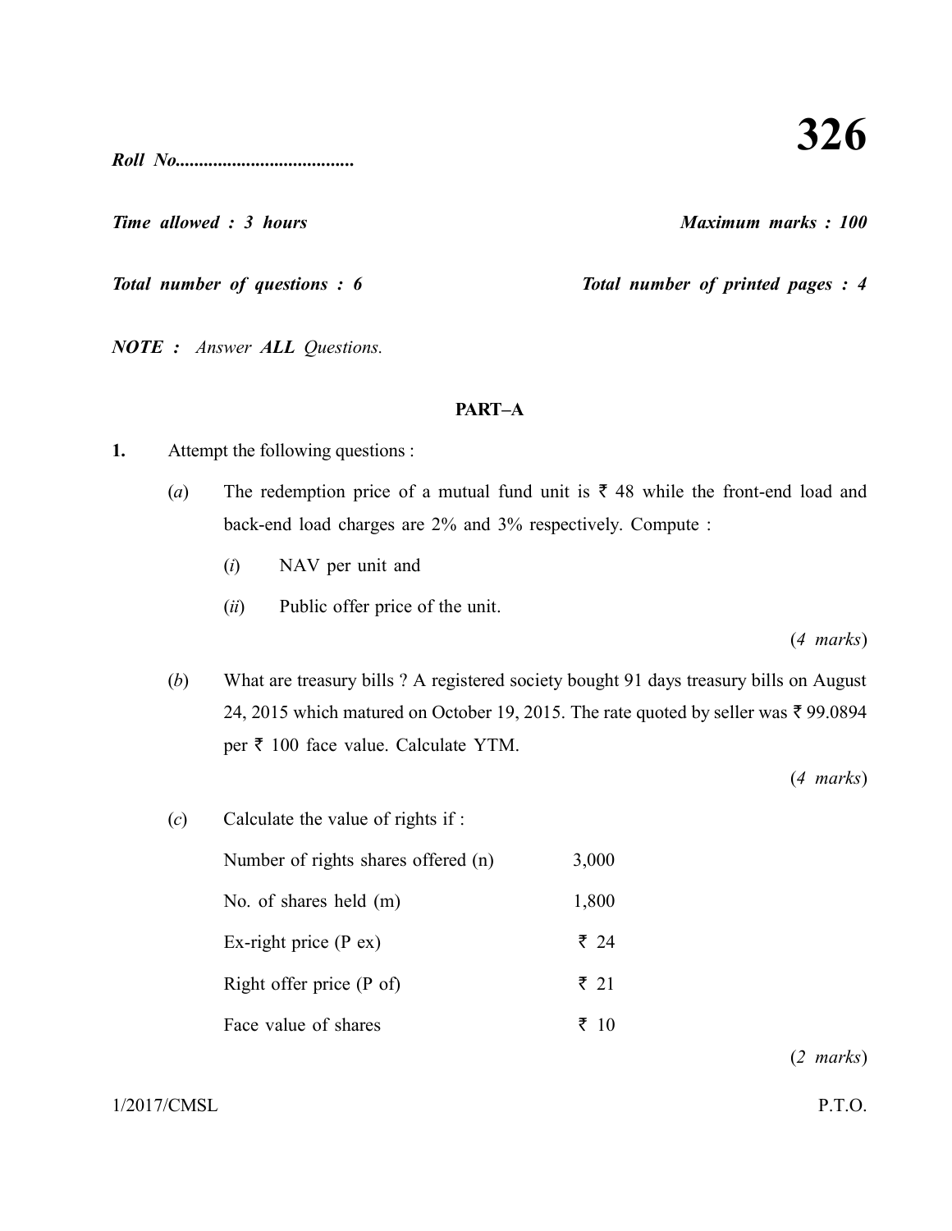*Roll No......................................*

*Time allowed : 3 hours Maximum marks : 100*

*Total number of questions : 6* Total number of printed pages : 4

*NOTE : Answer ALL Questions.*

### **PART–A**

- **1.** Attempt the following questions :
	- (*a*) The redemption price of a mutual fund unit is  $\bar{\tau}$  48 while the front-end load and back-end load charges are 2% and 3% respectively. Compute :
		- (*i*) NAV per unit and
		- (*ii*) Public offer price of the unit.

(*4 marks*)

(*b*) What are treasury bills ? A registered society bought 91 days treasury bills on August 24, 2015 which matured on October 19, 2015. The rate quoted by seller was  $\bar{\tau}$  99.0894 per  $\bar{\tau}$  100 face value. Calculate YTM.

(*4 marks*)

(*c*) Calculate the value of rights if : Number of rights shares offered (n) 3,000 No. of shares held (m) 1,800 Ex-right price (P ex)  $\overline{\zeta}$  24 Right offer price (P of)  $\bar{\tau}$  21 Face value of shares  $\bar{z}$  10

(*2 marks*)

 $1/2017/\text{CMSL}$  P.T.O.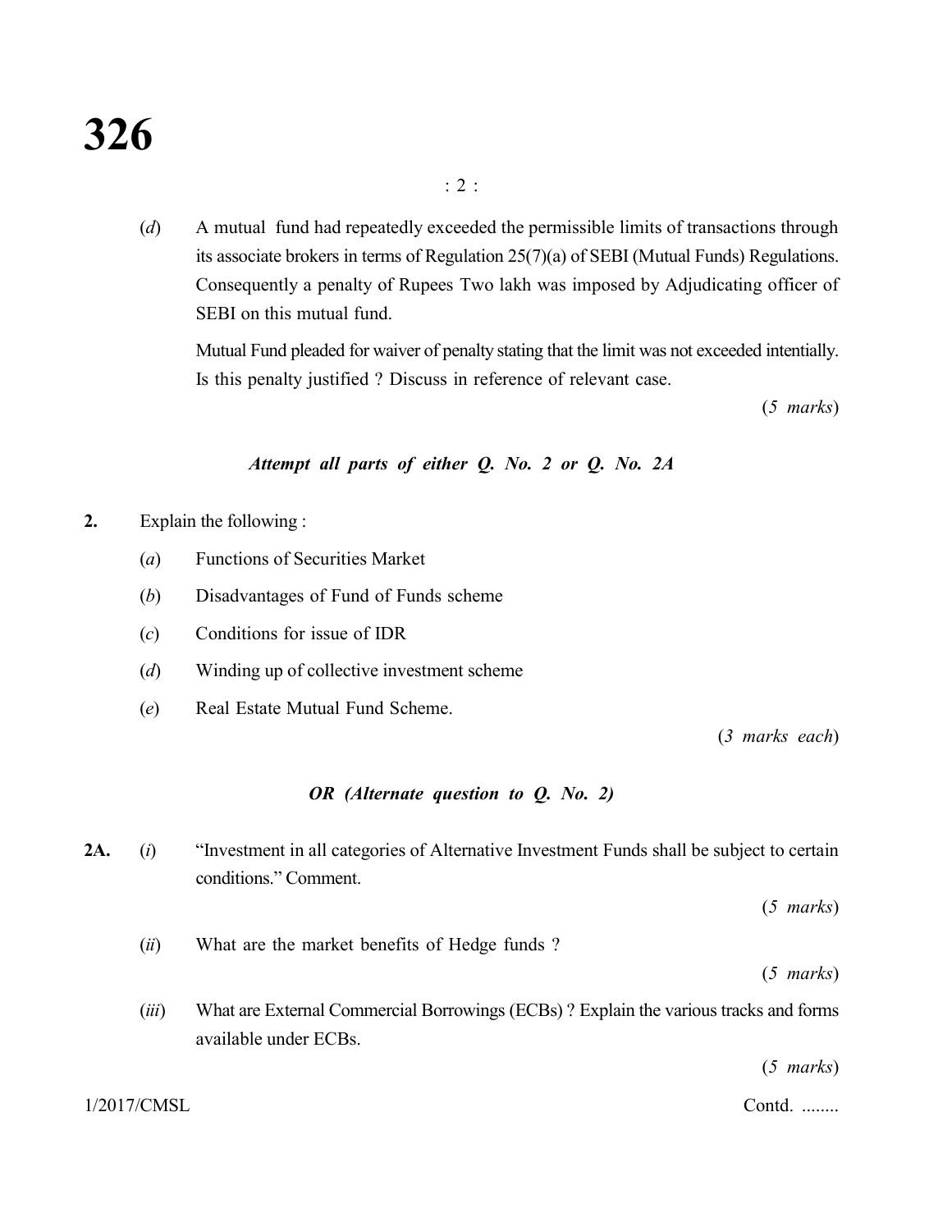(*d*) A mutual fund had repeatedly exceeded the permissible limits of transactions through its associate brokers in terms of Regulation 25(7)(a) of SEBI (Mutual Funds) Regulations. Consequently a penalty of Rupees Two lakh was imposed by Adjudicating officer of SEBI on this mutual fund.

Mutual Fund pleaded for waiver of penalty stating that the limit was not exceeded intentially. Is this penalty justified ? Discuss in reference of relevant case.

(*5 marks*)

#### *Attempt all parts of either Q. No. 2 or Q. No. 2A*

- **2.** Explain the following :
	- (*a*) Functions of Securities Market
	- (*b*) Disadvantages of Fund of Funds scheme
	- (*c*) Conditions for issue of IDR
	- (*d*) Winding up of collective investment scheme
	- (*e*) Real Estate Mutual Fund Scheme.

(*3 marks each*)

#### *OR (Alternate question to Q. No. 2)*

**2A.** (*i*) "Investment in all categories of Alternative Investment Funds shall be subject to certain conditions." Comment.

(*5 marks*)

(*ii*) What are the market benefits of Hedge funds ?

(*5 marks*)

(*iii*) What are External Commercial Borrowings (ECBs) ? Explain the various tracks and forms available under ECBs.

(*5 marks*)

1/2017/CMSL Contd. ........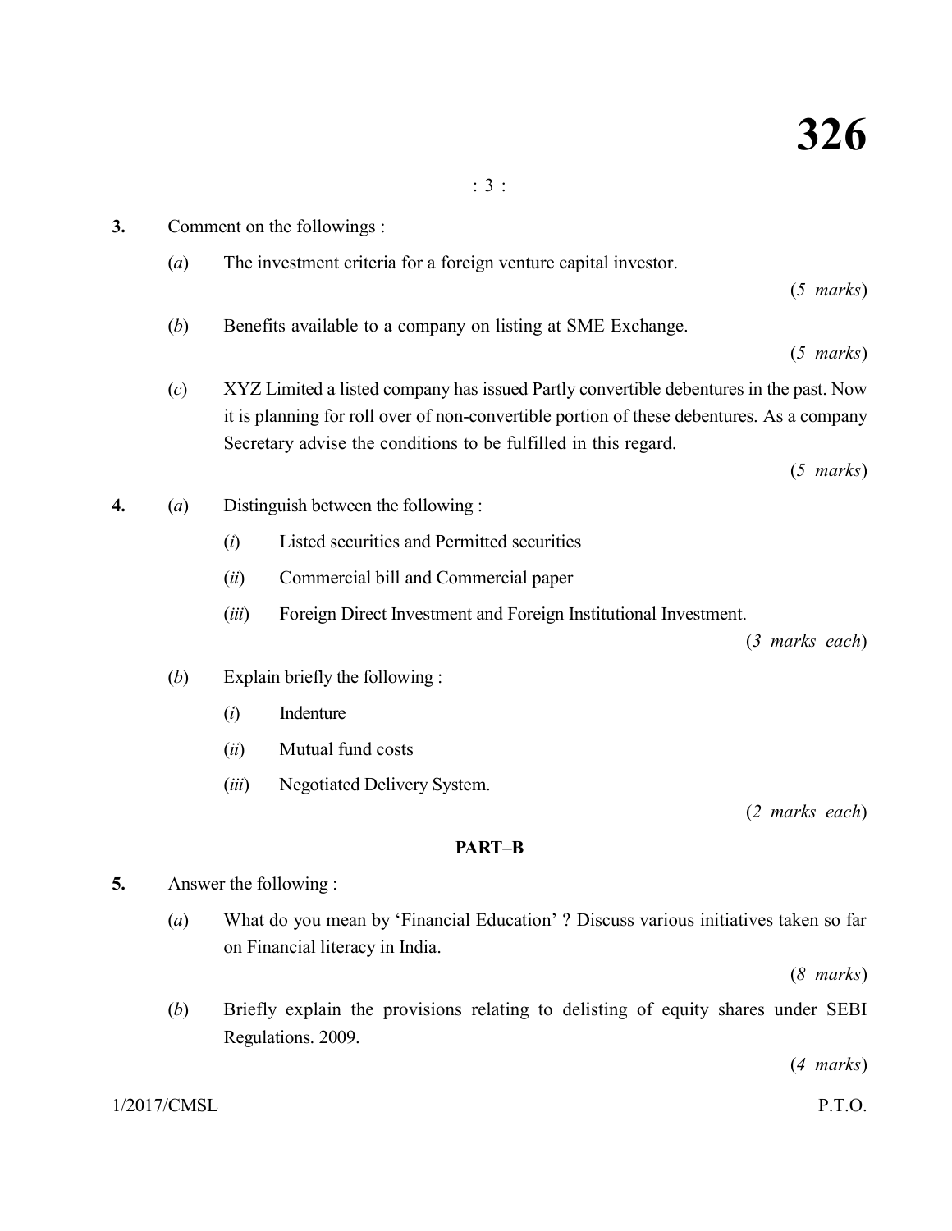- **3.** Comment on the followings :
	- (*a*) The investment criteria for a foreign venture capital investor.

(*5 marks*)

(*b*) Benefits available to a company on listing at SME Exchange.

(*5 marks*)

(*c*) XYZ Limited a listed company has issued Partly convertible debentures in the past. Now it is planning for roll over of non-convertible portion of these debentures. As a company Secretary advise the conditions to be fulfilled in this regard.

(*5 marks*)

- **4.** (*a*) Distinguish between the following :
	- (*i*) Listed securities and Permitted securities
	- (*ii*) Commercial bill and Commercial paper
	- (*iii*) Foreign Direct Investment and Foreign Institutional Investment.

(*3 marks each*)

- (*b*) Explain briefly the following :
	- (*i*) Indenture
	- (*ii*) Mutual fund costs
	- (*iii*) Negotiated Delivery System.

(*2 marks each*)

#### **PART–B**

- **5.** Answer the following :
	- (*a*) What do you mean by 'Financial Education' ? Discuss various initiatives taken so far on Financial literacy in India.

(*8 marks*)

(*b*) Briefly explain the provisions relating to delisting of equity shares under SEBI Regulations. 2009.

(*4 marks*)

 $1/2017/\text{CMSL}$  P.T.O.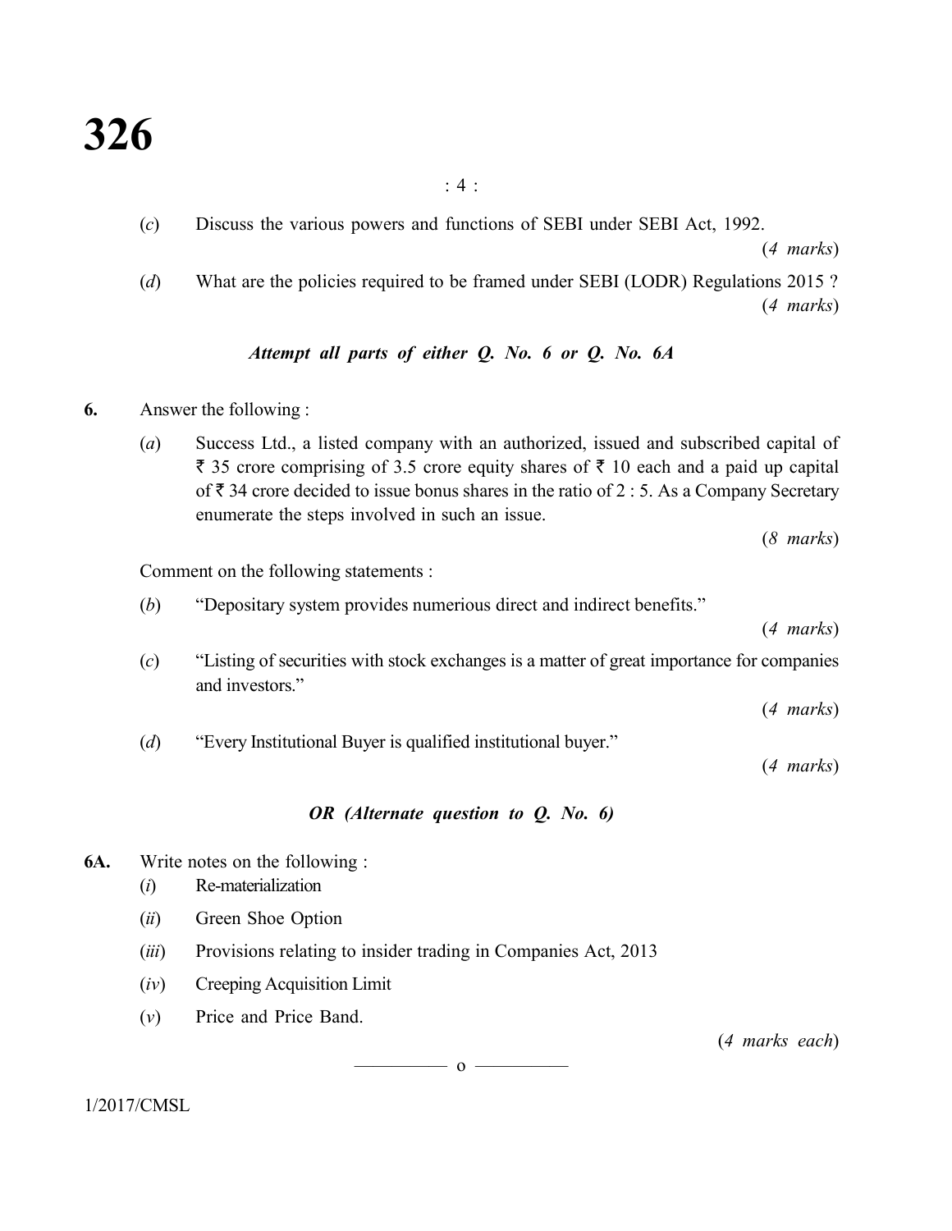: 4 :

(*c*) Discuss the various powers and functions of SEBI under SEBI Act, 1992.

(*4 marks*)

(*d*) What are the policies required to be framed under SEBI (LODR) Regulations 2015 ? (*4 marks*)

## *Attempt all parts of either Q. No. 6 or Q. No. 6A*

- **6.** Answer the following :
	- (*a*) Success Ltd., a listed company with an authorized, issued and subscribed capital of  $\bar{\tau}$  35 crore comprising of 3.5 crore equity shares of  $\bar{\tau}$  10 each and a paid up capital of  $\bar{\tau}$  34 crore decided to issue bonus shares in the ratio of 2 : 5. As a Company Secretary enumerate the steps involved in such an issue.

(*8 marks*)

Comment on the following statements :

(*b*) "Depositary system provides numerious direct and indirect benefits."

(*4 marks*)

(*c*) "Listing of securities with stock exchanges is a matter of great importance for companies and investors."

(*4 marks*)

(*d*) "Every Institutional Buyer is qualified institutional buyer."

(*4 marks*)

#### *OR (Alternate question to Q. No. 6)*

**6A.** Write notes on the following :

- (*i*) Re-materialization
- (*ii*) Green Shoe Option
- (*iii*) Provisions relating to insider trading in Companies Act, 2013
- (*iv*) Creeping Acquisition Limit
- (*v*) Price and Price Band.

(*4 marks each*)

 $\overline{\hspace{1.5cm}}$  0  $\overline{\hspace{1.5cm}}$ 

1/2017/CMSL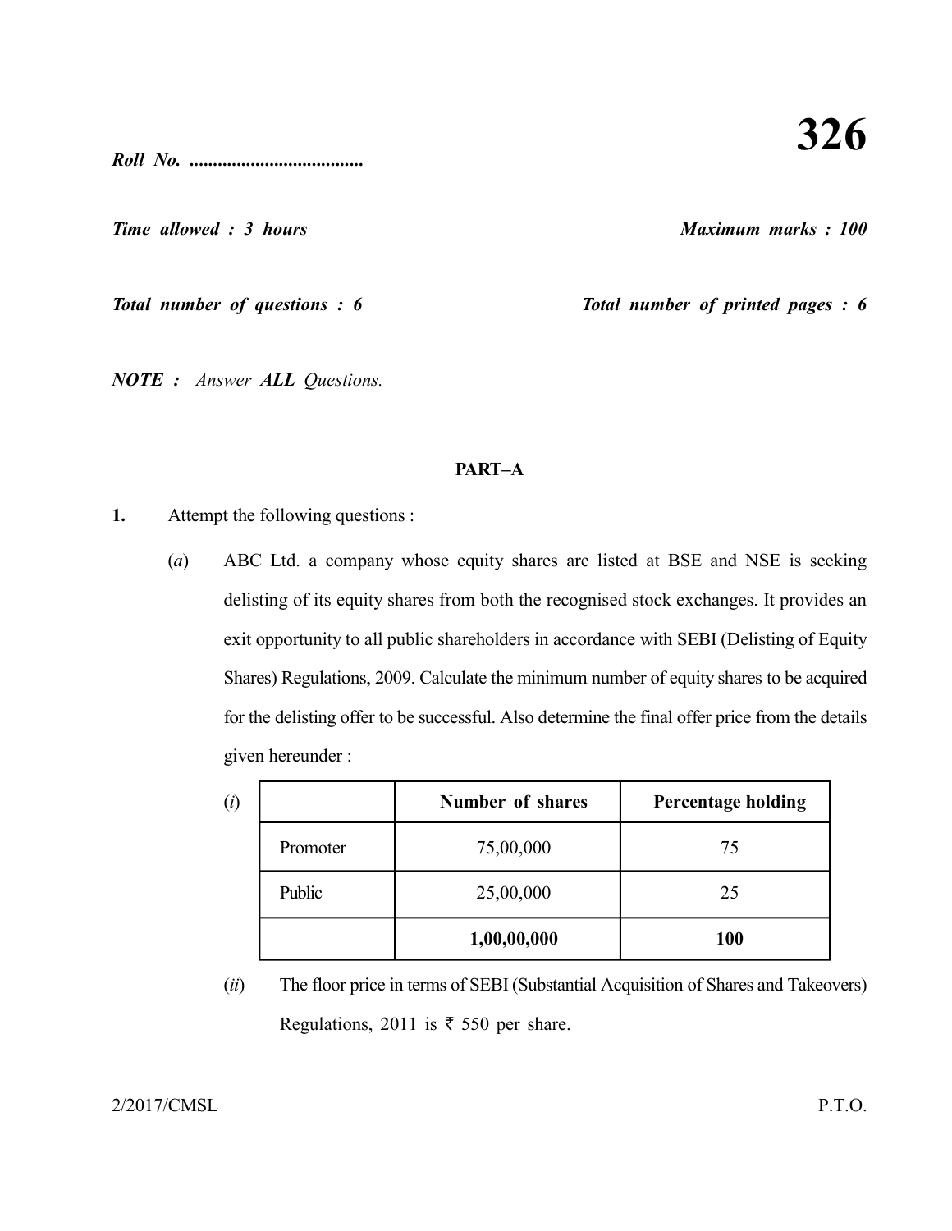*Roll No. .....................................*

*Time allowed : 3 hours Maximum marks : 100*

*Total number of questions : 6* Total number of printed pages : 6

*NOTE : Answer ALL Questions.*

#### **PART–A**

- **1.** Attempt the following questions :
	- (*a*) ABC Ltd. a company whose equity shares are listed at BSE and NSE is seeking delisting of its equity shares from both the recognised stock exchanges. It provides an exit opportunity to all public shareholders in accordance with SEBI (Delisting of Equity Shares) Regulations, 2009. Calculate the minimum number of equity shares to be acquired for the delisting offer to be successful. Also determine the final offer price from the details given hereunder :

| (i) |          | <b>Number of shares</b> | <b>Percentage holding</b> |
|-----|----------|-------------------------|---------------------------|
|     | Promoter | 75,00,000               | 75                        |
|     | Public   | 25,00,000               | 25                        |
|     |          | 1,00,00,000             | <b>100</b>                |

(*ii*) The floor price in terms of SEBI (Substantial Acquisition of Shares and Takeovers) Regulations, 2011 is  $\bar{\tau}$  550 per share.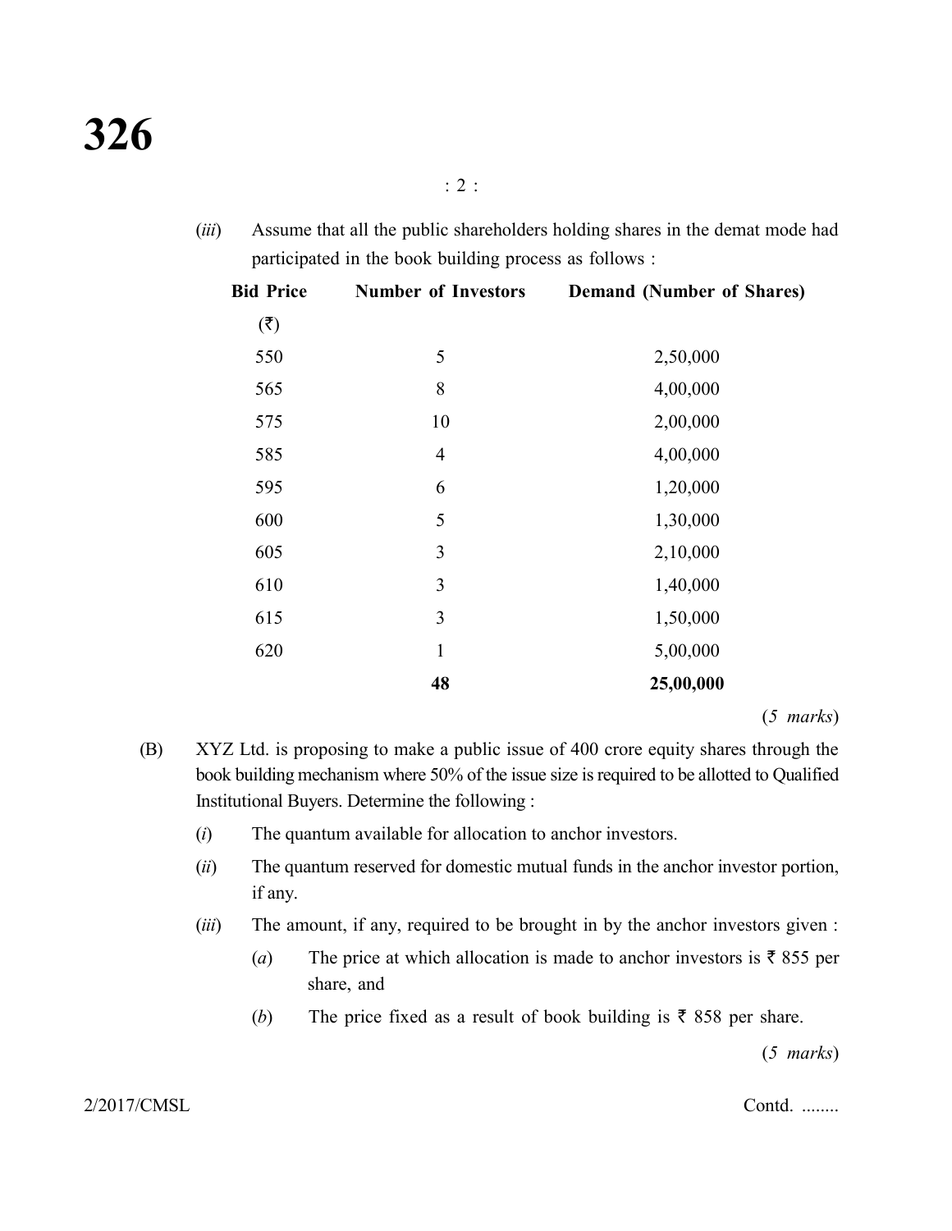(*iii*) Assume that all the public shareholders holding shares in the demat mode had participated in the book building process as follows :

| <b>Bid Price</b> | <b>Number of Investors</b> | <b>Demand (Number of Shares)</b> |
|------------------|----------------------------|----------------------------------|
| (3)              |                            |                                  |
| 550              | 5                          | 2,50,000                         |
| 565              | 8                          | 4,00,000                         |
| 575              | 10                         | 2,00,000                         |
| 585              | $\overline{4}$             | 4,00,000                         |
| 595              | 6                          | 1,20,000                         |
| 600              | 5                          | 1,30,000                         |
| 605              | 3                          | 2,10,000                         |
| 610              | 3                          | 1,40,000                         |
| 615              | 3                          | 1,50,000                         |
| 620              | $\mathbf{1}$               | 5,00,000                         |
|                  | 48                         | 25,00,000                        |

(*5 marks*)

- (B) XYZ Ltd. is proposing to make a public issue of 400 crore equity shares through the book building mechanism where 50% of the issue size is required to be allotted to Qualified Institutional Buyers. Determine the following :
	- (*i*) The quantum available for allocation to anchor investors.
	- (*ii*) The quantum reserved for domestic mutual funds in the anchor investor portion, if any.
	- (*iii*) The amount, if any, required to be brought in by the anchor investors given :
		- (*a*) The price at which allocation is made to anchor investors is  $\bar{\tau}$  855 per share, and
		- (*b*) The price fixed as a result of book building is  $\bar{\tau}$  858 per share.

(*5 marks*)

2/2017/CMSL Contd. ........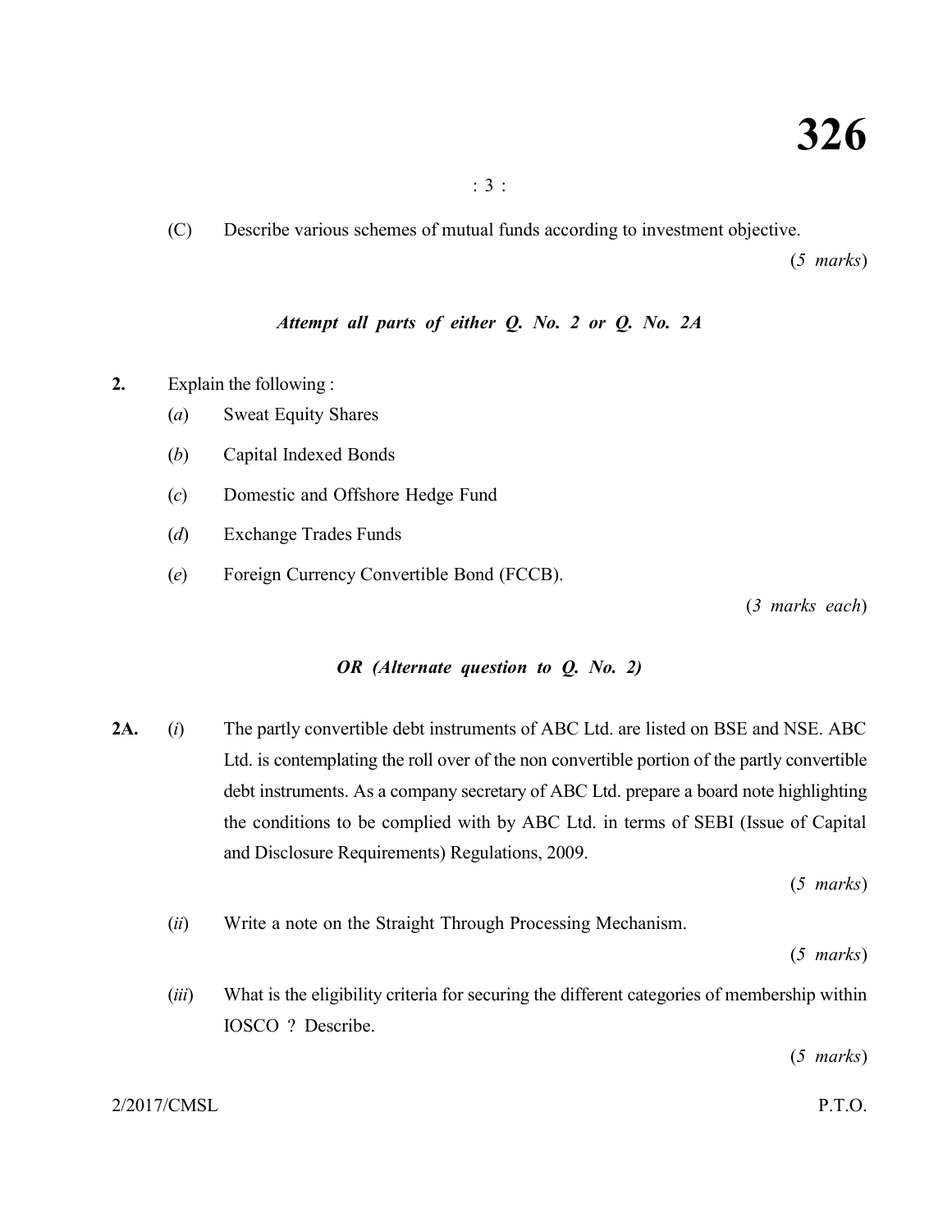(C) Describe various schemes of mutual funds according to investment objective.

(*5 marks*)

#### *Attempt all parts of either Q. No. 2 or Q. No. 2A*

**2.** Explain the following :

- (*a*) Sweat Equity Shares
- (*b*) Capital Indexed Bonds
- (*c*) Domestic and Offshore Hedge Fund
- (*d*) Exchange Trades Funds
- (*e*) Foreign Currency Convertible Bond (FCCB).

(*3 marks each*)

#### *OR (Alternate question to Q. No. 2)*

**2A.** (*i*) The partly convertible debt instruments of ABC Ltd. are listed on BSE and NSE. ABC Ltd. is contemplating the roll over of the non convertible portion of the partly convertible debt instruments. As a company secretary of ABC Ltd. prepare a board note highlighting the conditions to be complied with by ABC Ltd. in terms of SEBI (Issue of Capital and Disclosure Requirements) Regulations, 2009.

(*5 marks*)

(*ii*) Write a note on the Straight Through Processing Mechanism.

(*5 marks*)

(*iii*) What is the eligibility criteria for securing the different categories of membership within IOSCO ? Describe.

(*5 marks*)

2/2017/CMSL P.T.O.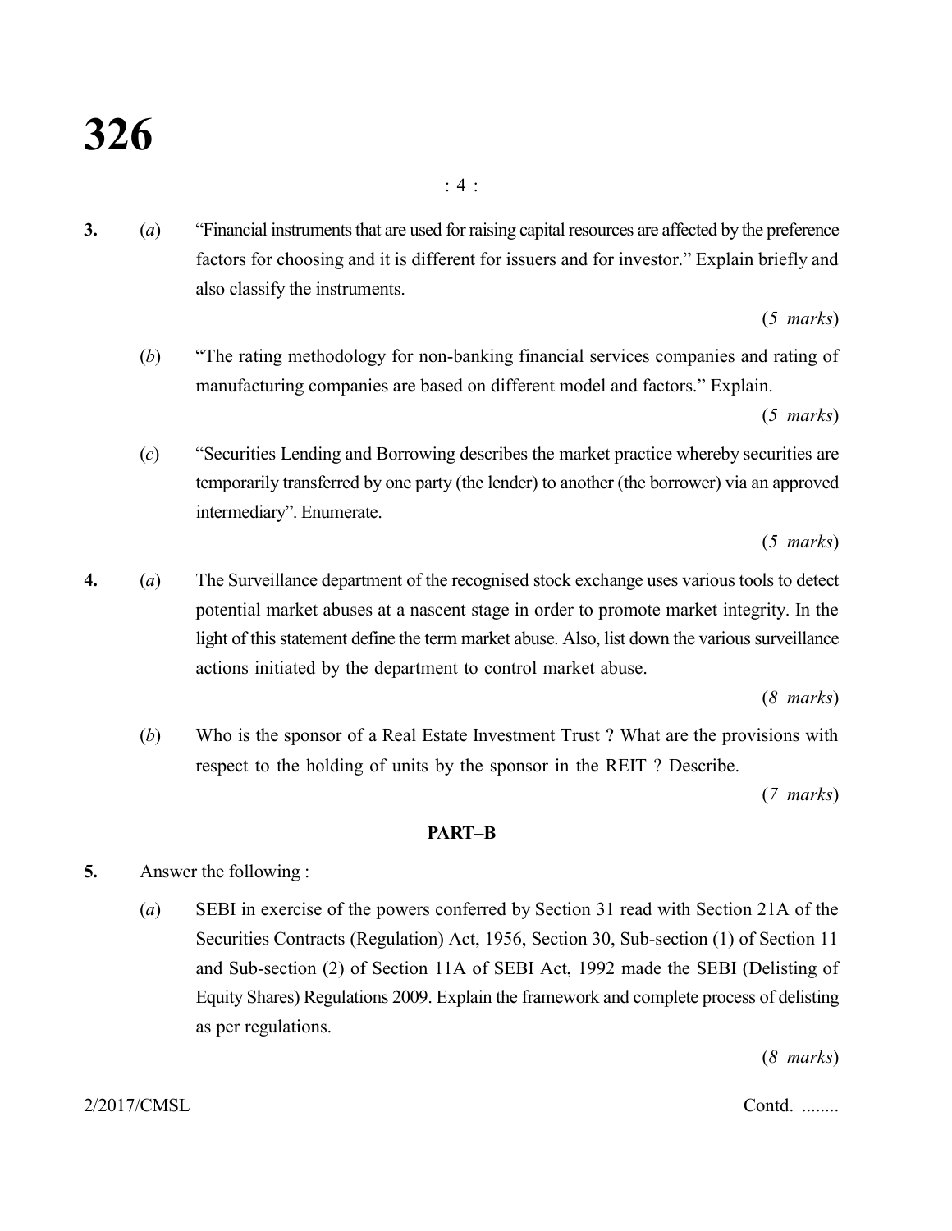**3.** (*a*) "Financial instruments that are used for raising capital resources are affected by the preference factors for choosing and it is different for issuers and for investor." Explain briefly and also classify the instruments.

(*5 marks*)

(*b*) "The rating methodology for non-banking financial services companies and rating of manufacturing companies are based on different model and factors." Explain.

(*5 marks*)

(*c*) "Securities Lending and Borrowing describes the market practice whereby securities are temporarily transferred by one party (the lender) to another (the borrower) via an approved intermediary". Enumerate.

(*5 marks*)

**4.** (*a*) The Surveillance department of the recognised stock exchange uses various tools to detect potential market abuses at a nascent stage in order to promote market integrity. In the light of this statement define the term market abuse. Also, list down the various surveillance actions initiated by the department to control market abuse.

(*8 marks*)

(*b*) Who is the sponsor of a Real Estate Investment Trust ? What are the provisions with respect to the holding of units by the sponsor in the REIT ? Describe.

(*7 marks*)

#### **PART–B**

- **5.** Answer the following :
	- (*a*) SEBI in exercise of the powers conferred by Section 31 read with Section 21A of the Securities Contracts (Regulation) Act, 1956, Section 30, Sub-section (1) of Section 11 and Sub-section (2) of Section 11A of SEBI Act, 1992 made the SEBI (Delisting of Equity Shares) Regulations 2009. Explain the framework and complete process of delisting as per regulations.

(*8 marks*)

2/2017/CMSL Contd. ........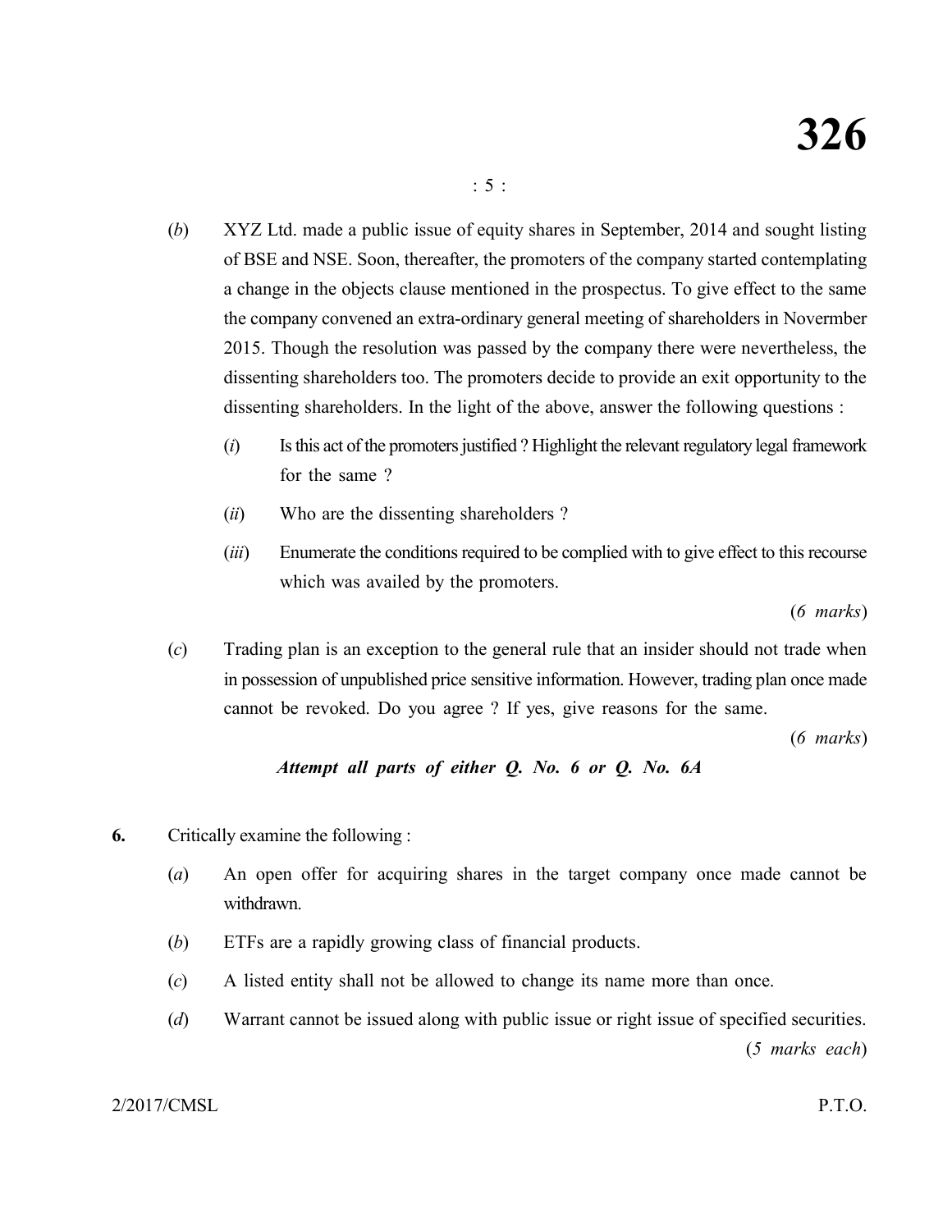- (*b*) XYZ Ltd. made a public issue of equity shares in September, 2014 and sought listing of BSE and NSE. Soon, thereafter, the promoters of the company started contemplating a change in the objects clause mentioned in the prospectus. To give effect to the same the company convened an extra-ordinary general meeting of shareholders in Novermber 2015. Though the resolution was passed by the company there were nevertheless, the dissenting shareholders too. The promoters decide to provide an exit opportunity to the dissenting shareholders. In the light of the above, answer the following questions :
	- (*i*) Is this act of the promoters justified ? Highlight the relevant regulatory legal framework for the same ?
	- (*ii*) Who are the dissenting shareholders ?
	- (*iii*) Enumerate the conditions required to be complied with to give effect to this recourse which was availed by the promoters.

(*6 marks*)

(*c*) Trading plan is an exception to the general rule that an insider should not trade when in possession of unpublished price sensitive information. However, trading plan once made cannot be revoked. Do you agree ? If yes, give reasons for the same.

(*6 marks*)

### *Attempt all parts of either Q. No. 6 or Q. No. 6A*

- **6.** Critically examine the following :
	- (*a*) An open offer for acquiring shares in the target company once made cannot be withdrawn.
	- (*b*) ETFs are a rapidly growing class of financial products.
	- (*c*) A listed entity shall not be allowed to change its name more than once.
	- (*d*) Warrant cannot be issued along with public issue or right issue of specified securities. (*5 marks each*)

2/2017/CMSL P.T.O.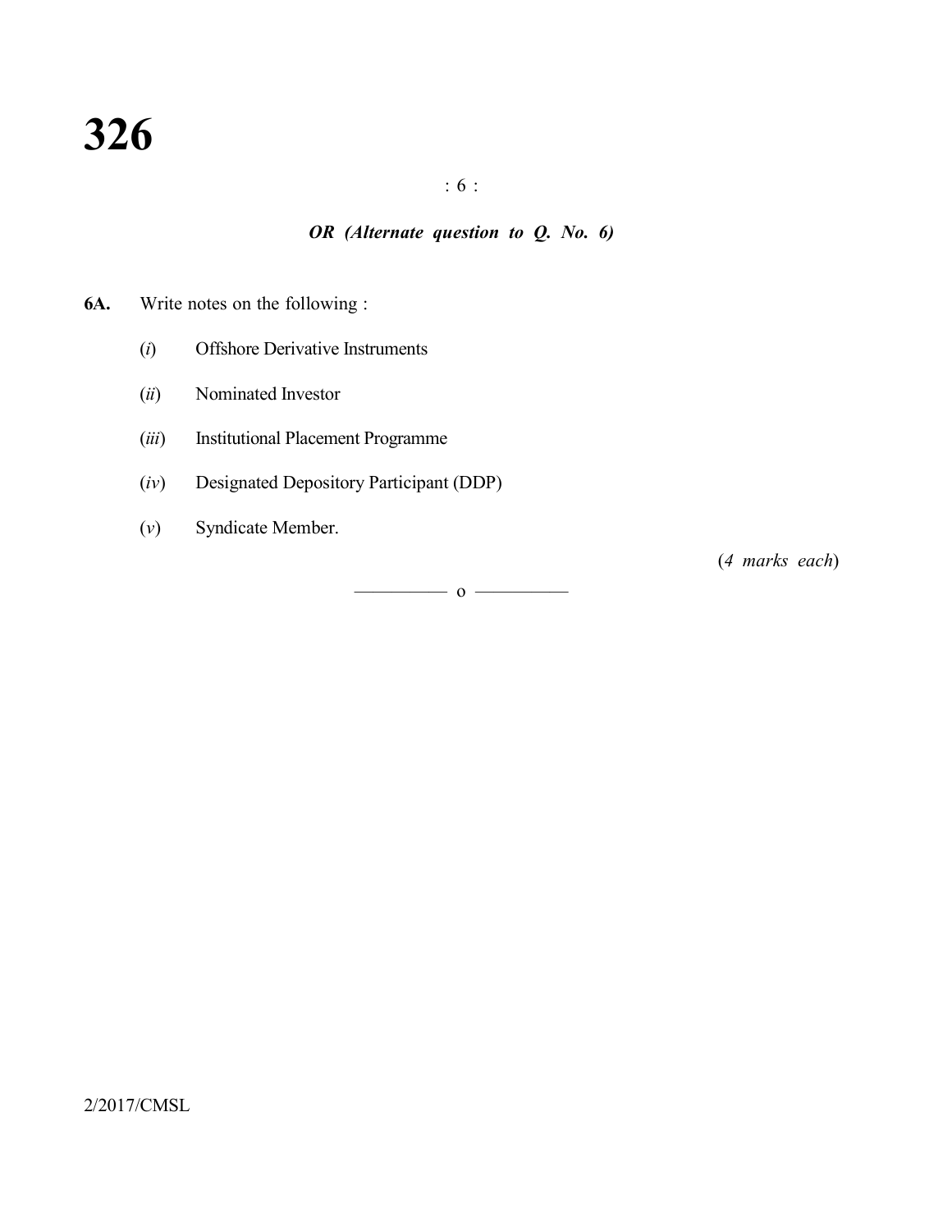: 6 :

# *OR (Alternate question to Q. No. 6)*

## **6A.** Write notes on the following :

- (*i*) Offshore Derivative Instruments
- (*ii*) Nominated Investor
- (*iii*) Institutional Placement Programme
- (*iv*) Designated Depository Participant (DDP)
- (*v*) Syndicate Member.

(*4 marks each*)

 $\overline{\hspace{1em}}$  0  $\overline{\hspace{1em}}$ 

2/2017/CMSL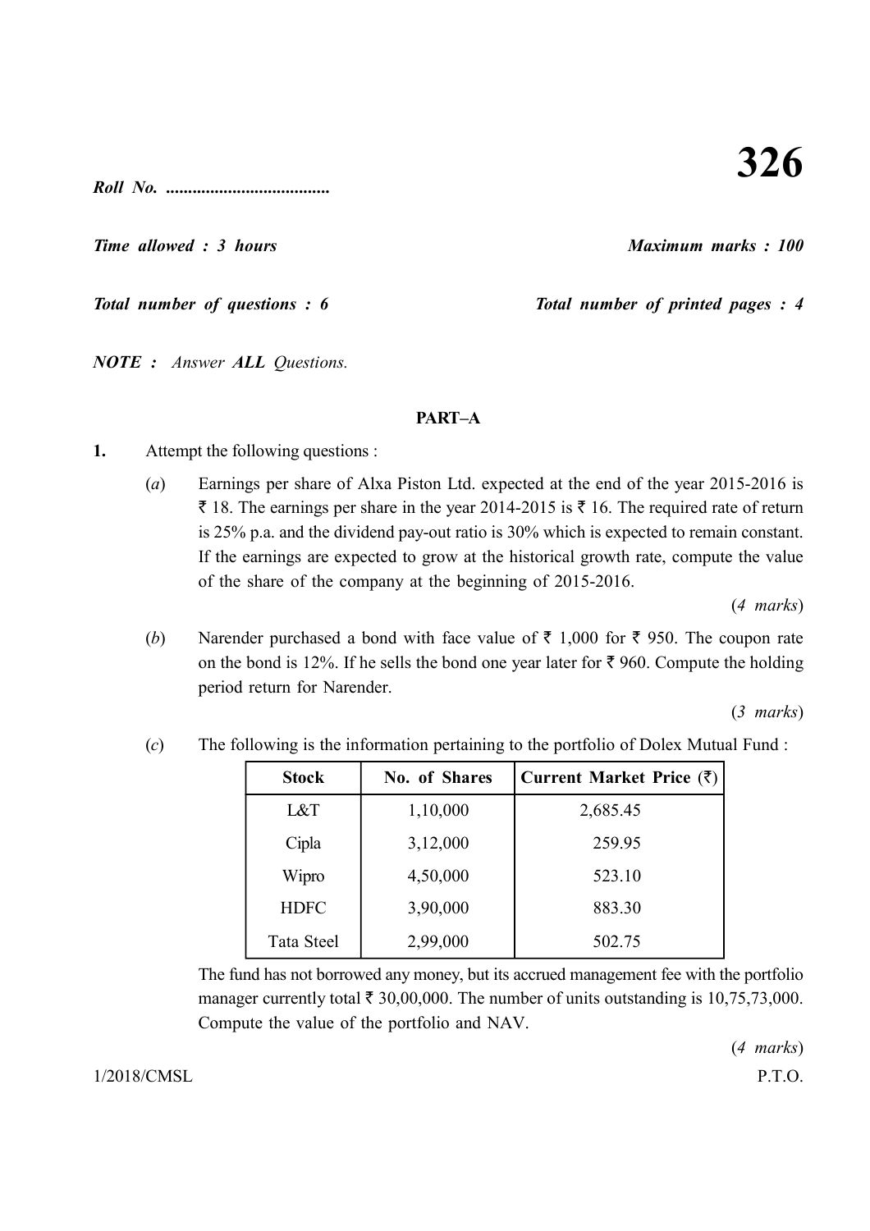*Roll No. .....................................*

*Time allowed : 3 hours Maximum marks : 100*

*Total number of questions : 6* Total number of printed pages : 4

*NOTE : Answer ALL Questions.*

#### **PART–A**

- **1.** Attempt the following questions :
	- (*a*) Earnings per share of Alxa Piston Ltd. expected at the end of the year 2015-2016 is  $\bar{\tau}$  18. The earnings per share in the year 2014-2015 is  $\bar{\tau}$  16. The required rate of return is 25% p.a. and the dividend pay-out ratio is 30% which is expected to remain constant. If the earnings are expected to grow at the historical growth rate, compute the value of the share of the company at the beginning of 2015-2016.

(*4 marks*)

(*b*) Narender purchased a bond with face value of  $\bar{\tau}$  1,000 for  $\bar{\tau}$  950. The coupon rate on the bond is 12%. If he sells the bond one year later for  $\bar{\tau}$  960. Compute the holding period return for Narender.

(*3 marks*)

| <b>Stock</b> | No. of Shares | Current Market Price $(\bar{\zeta})$ |
|--------------|---------------|--------------------------------------|
| L&T          | 1,10,000      | 2,685.45                             |
| Cipla        | 3,12,000      | 259.95                               |
| Wipro        | 4,50,000      | 523.10                               |
| <b>HDFC</b>  | 3,90,000      | 883.30                               |
| Tata Steel   | 2,99,000      | 502.75                               |

(*c*) The following is the information pertaining to the portfolio of Dolex Mutual Fund :

The fund has not borrowed any money, but its accrued management fee with the portfolio manager currently total  $\bar{\tau}$  30,00,000. The number of units outstanding is 10,75,73,000. Compute the value of the portfolio and NAV.

(*4 marks*)

1/2018/CMSL P.T.O.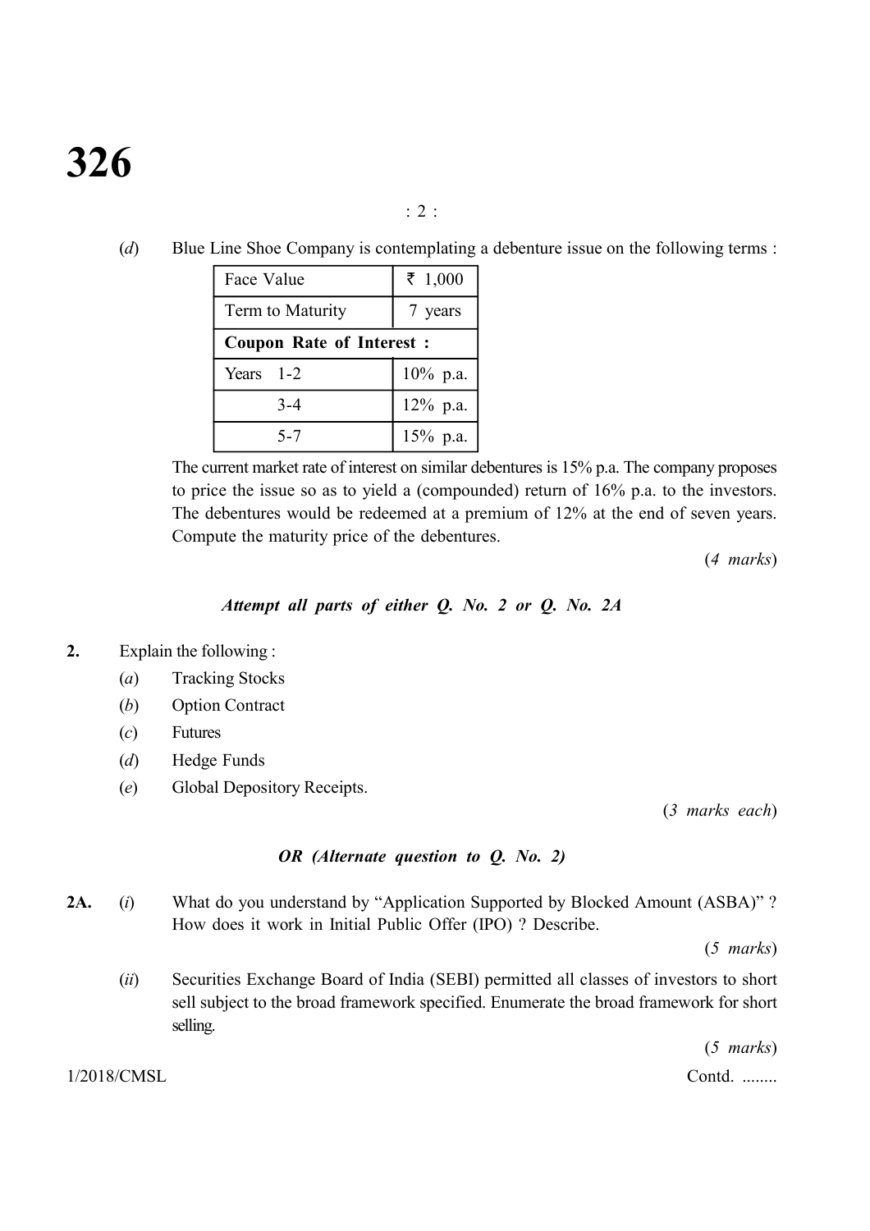: 2 :

(*d*) Blue Line Shoe Company is contemplating a debenture issue on the following terms :

| Face Value                      | ₹ 1,000     |  |  |  |  |  |
|---------------------------------|-------------|--|--|--|--|--|
| Term to Maturity                | 7 years     |  |  |  |  |  |
| <b>Coupon Rate of Interest:</b> |             |  |  |  |  |  |
| Years $1-2$                     | $10\%$ p.a. |  |  |  |  |  |
| $3 - 4$                         | $12\%$ p.a. |  |  |  |  |  |
| 5-7                             | $15%$ p.a.  |  |  |  |  |  |

The current market rate of interest on similar debentures is 15% p.a. The company proposes to price the issue so as to yield a (compounded) return of 16% p.a. to the investors. The debentures would be redeemed at a premium of 12% at the end of seven years. Compute the maturity price of the debentures.

(*4 marks*)

#### *Attempt all parts of either Q. No. 2 or Q. No. 2A*

- **2.** Explain the following :
	- (*a*) Tracking Stocks
	- (*b*) Option Contract
	- (*c*) Futures
	- (*d*) Hedge Funds
	- (*e*) Global Depository Receipts.

(*3 marks each*)

# *OR (Alternate question to Q. No. 2)*

**2A.** (*i*) What do you understand by "Application Supported by Blocked Amount (ASBA)" ? How does it work in Initial Public Offer (IPO) ? Describe.

(*5 marks*)

(*ii*) Securities Exchange Board of India (SEBI) permitted all classes of investors to short sell subject to the broad framework specified. Enumerate the broad framework for short selling.

(*5 marks*)

1/2018/CMSL Contd. ........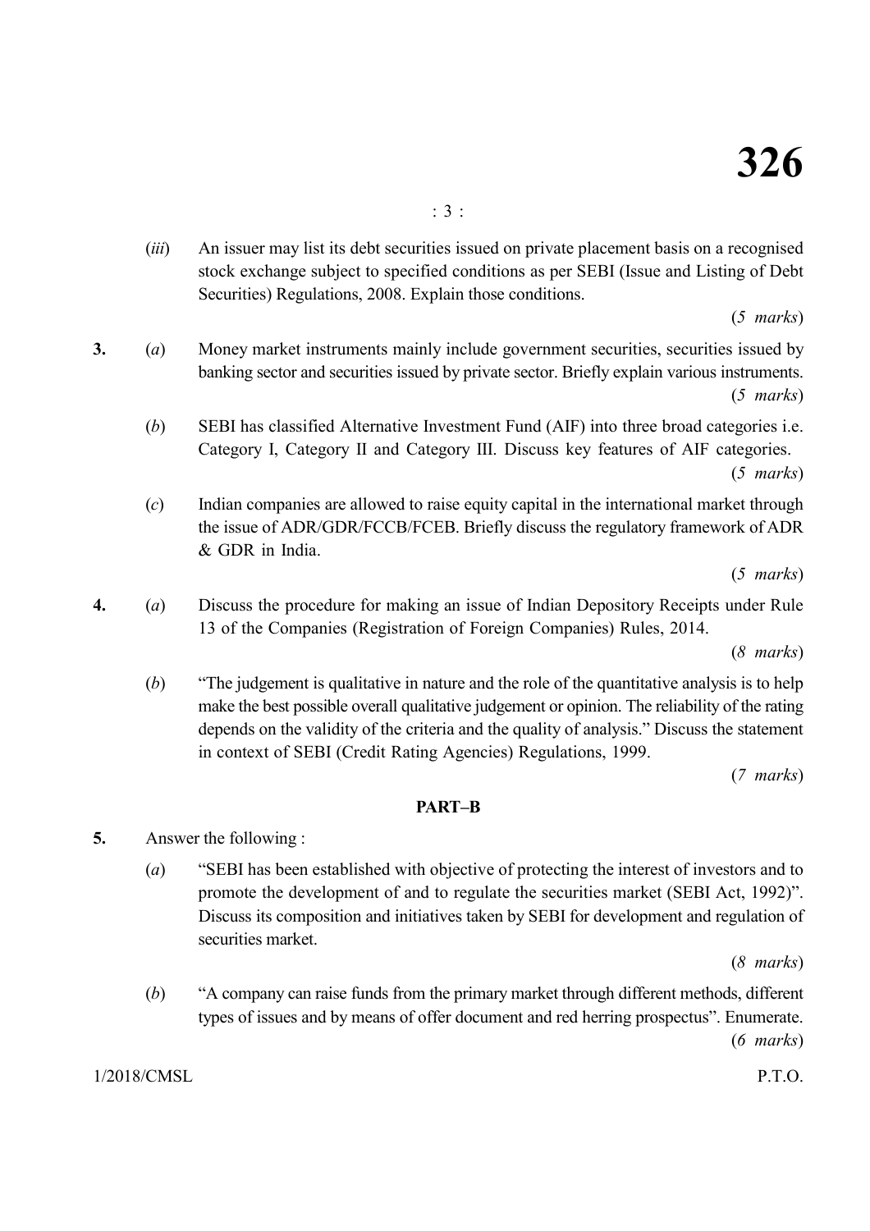(*iii*) An issuer may list its debt securities issued on private placement basis on a recognised stock exchange subject to specified conditions as per SEBI (Issue and Listing of Debt Securities) Regulations, 2008. Explain those conditions.

(*5 marks*)

- **3.** (*a*) Money market instruments mainly include government securities, securities issued by banking sector and securities issued by private sector. Briefly explain various instruments. (*5 marks*)
	- (*b*) SEBI has classified Alternative Investment Fund (AIF) into three broad categories i.e. Category I, Category II and Category III. Discuss key features of AIF categories.

(*5 marks*)

(*c*) Indian companies are allowed to raise equity capital in the international market through the issue of ADR/GDR/FCCB/FCEB. Briefly discuss the regulatory framework of ADR & GDR in India.

(*5 marks*)

**4.** (*a*) Discuss the procedure for making an issue of Indian Depository Receipts under Rule 13 of the Companies (Registration of Foreign Companies) Rules, 2014.

(*8 marks*)

(*b*) "The judgement is qualitative in nature and the role of the quantitative analysis is to help make the best possible overall qualitative judgement or opinion. The reliability of the rating depends on the validity of the criteria and the quality of analysis." Discuss the statement in context of SEBI (Credit Rating Agencies) Regulations, 1999.

(*7 marks*)

### **PART–B**

- **5.** Answer the following :
	- (*a*) "SEBI has been established with objective of protecting the interest of investors and to promote the development of and to regulate the securities market (SEBI Act, 1992)". Discuss its composition and initiatives taken by SEBI for development and regulation of securities market.

(*8 marks*)

(*b*) "A company can raise funds from the primary market through different methods, different types of issues and by means of offer document and red herring prospectus". Enumerate.

(*6 marks*)

1/2018/CMSL P.T.O.